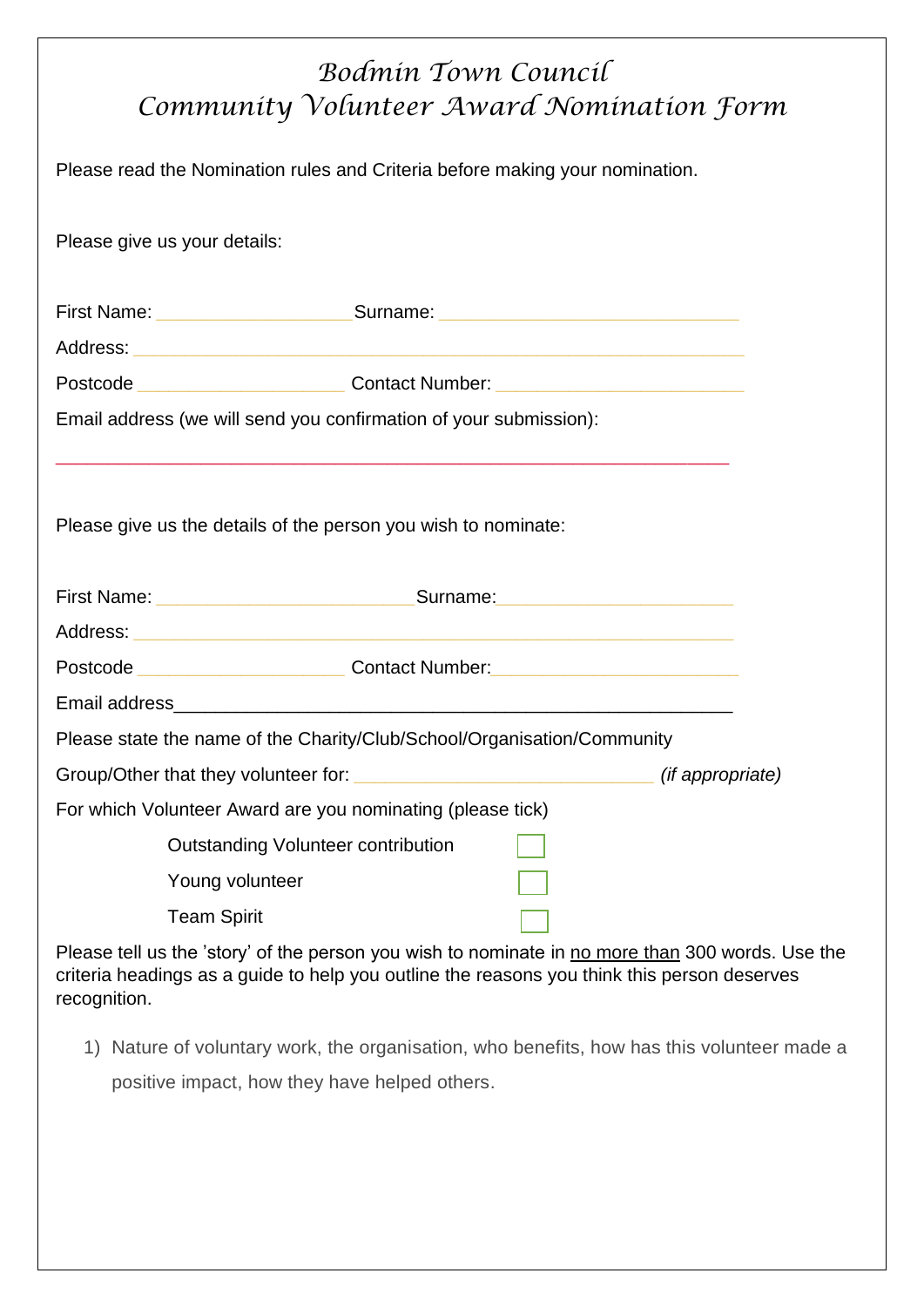## *Bodmin Town Council Community Volunteer Award Nomination Form*

Please read the Nomination rules and Criteria before making your nomination.

Please give us your details:

|                                                                   | First Name: ______________________________Surname: _____________________________ |  |
|-------------------------------------------------------------------|----------------------------------------------------------------------------------|--|
|                                                                   |                                                                                  |  |
|                                                                   |                                                                                  |  |
| Email address (we will send you confirmation of your submission): |                                                                                  |  |
| Please give us the details of the person you wish to nominate:    |                                                                                  |  |
|                                                                   |                                                                                  |  |
|                                                                   |                                                                                  |  |
|                                                                   | Postcode ______________________________Contact Number:__________________________ |  |
|                                                                   |                                                                                  |  |
|                                                                   | Please state the name of the Charity/Club/School/Organisation/Community          |  |
|                                                                   |                                                                                  |  |
| For which Volunteer Award are you nominating (please tick)        |                                                                                  |  |
| <b>Outstanding Volunteer contribution</b>                         |                                                                                  |  |
| Young volunteer                                                   |                                                                                  |  |
| <b>Team Spirit</b>                                                |                                                                                  |  |

Please tell us the 'story' of the person you wish to nominate in no more than 300 words. Use the criteria headings as a guide to help you outline the reasons you think this person deserves recognition.

1) Nature of voluntary work, the organisation, who benefits, how has this volunteer made a

positive impact, how they have helped others.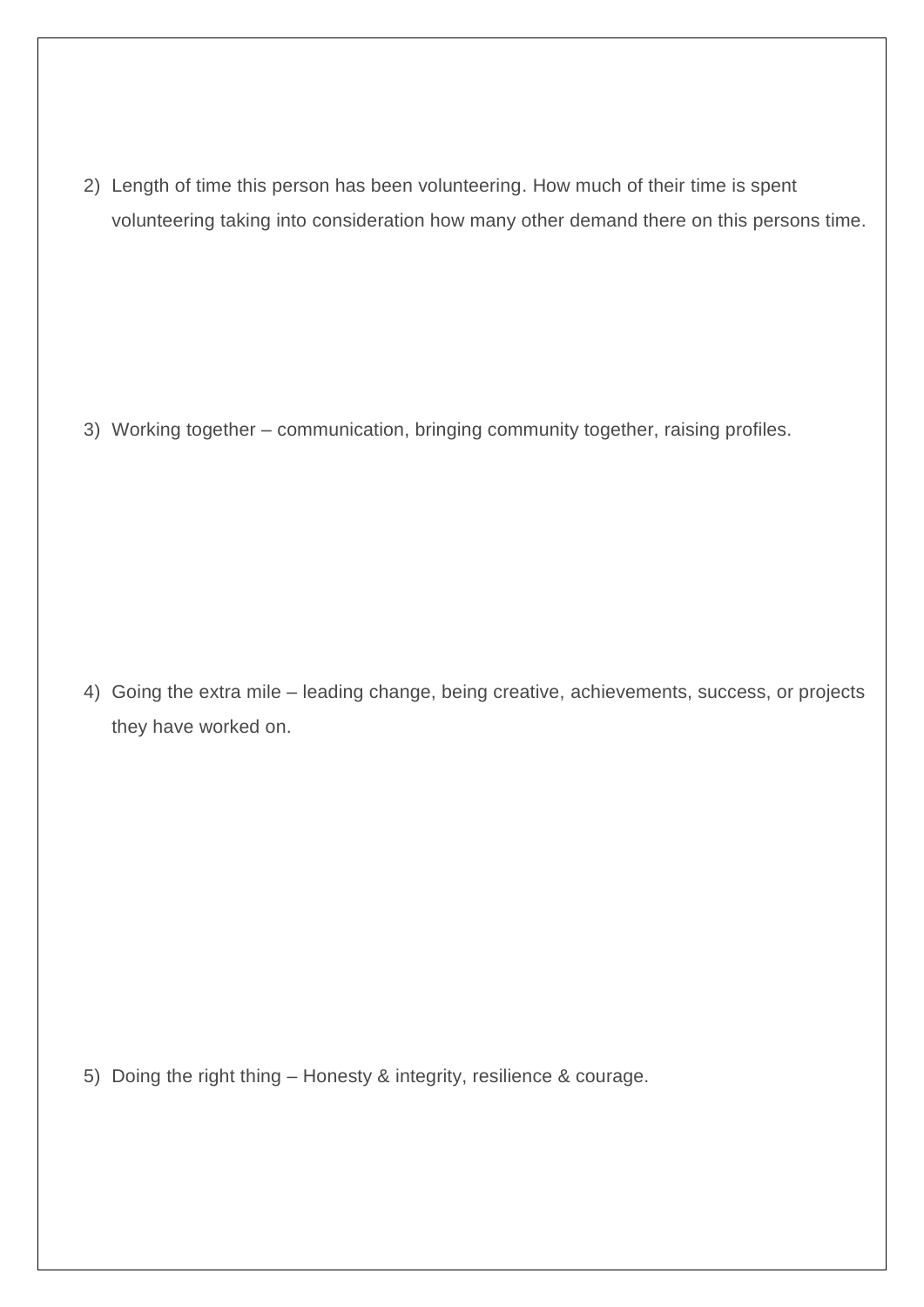2) Length of time this person has been volunteering. How much of their time is spent volunteering taking into consideration how many other demand there on this persons time.

3) Working together – communication, bringing community together, raising profiles.

4) Going the extra mile – leading change, being creative, achievements, success, or projects they have worked on.

5) Doing the right thing – Honesty & integrity, resilience & courage.